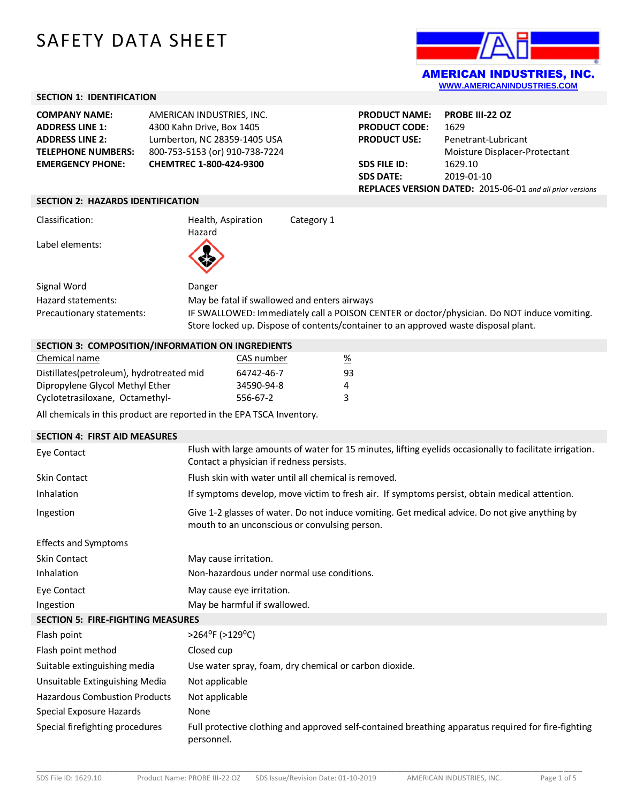# SAFETY DATA SHEET



## **SECTION 1: IDENTIFICATION**

| <b>COMPANY NAME:</b>      | AMERICAN INDUSTRIES, INC.      |
|---------------------------|--------------------------------|
| <b>ADDRESS LINE 1:</b>    | 4300 Kahn Drive, Box 1405      |
| <b>ADDRESS LINE 2:</b>    | Lumberton, NC 28359-1405 USA   |
| <b>TELEPHONE NUMBERS:</b> | 800-753-5153 (or) 910-738-7224 |
| <b>EMERGENCY PHONE:</b>   | CHEMTREC 1-800-424-9300        |

| <b>PRODUCT CODE:</b><br>1629<br>Penetrant-Lubricant<br><b>PRODUCT USE:</b><br>Moisture Displacer-Protectant<br>1629.10<br><b>SDS FILE ID:</b><br><b>SDS DATE:</b><br>2019-01-10<br>REPLACES VERSION DATED: 2015-06-01 and all prior versions | <b>PRODUCT NAME:</b> | PROBE III-22 OZ |
|----------------------------------------------------------------------------------------------------------------------------------------------------------------------------------------------------------------------------------------------|----------------------|-----------------|
|                                                                                                                                                                                                                                              |                      |                 |
|                                                                                                                                                                                                                                              |                      |                 |
|                                                                                                                                                                                                                                              |                      |                 |
|                                                                                                                                                                                                                                              |                      |                 |
|                                                                                                                                                                                                                                              |                      |                 |
|                                                                                                                                                                                                                                              |                      |                 |

#### **SECTION 2: HAZARDS IDENTIFICATION**

Classification: Health, Aspiration

Label elements:

Hazard

Signal Word Danger Hazard statements: May be fatal if swallowed and enters airways Precautionary statements: IF SWALLOWED: Immediately call a POISON CENTER or doctor/physician. Do NOT induce vomiting.

Store locked up. Dispose of contents/container to an approved waste disposal plant.

Category 1

**SECTION 3: COMPOSITION/INFORMATION ON INGREDIENTS**

| Chemical name                            | CAS number | $\frac{\%}{\%}$ |
|------------------------------------------|------------|-----------------|
| Distillates(petroleum), hydrotreated mid | 64742-46-7 | 93              |
| Dipropylene Glycol Methyl Ether          | 34590-94-8 | 4               |
| Cyclotetrasiloxane, Octamethyl-          | 556-67-2   | ર               |

All chemicals in this product are reported in the EPA TSCA Inventory.

| <b>SECTION 4: FIRST AID MEASURES</b>     |                                                                                                                                                      |  |
|------------------------------------------|------------------------------------------------------------------------------------------------------------------------------------------------------|--|
| Eye Contact                              | Flush with large amounts of water for 15 minutes, lifting eyelids occasionally to facilitate irrigation.<br>Contact a physician if redness persists. |  |
| <b>Skin Contact</b>                      | Flush skin with water until all chemical is removed.                                                                                                 |  |
| Inhalation                               | If symptoms develop, move victim to fresh air. If symptoms persist, obtain medical attention.                                                        |  |
| Ingestion                                | Give 1-2 glasses of water. Do not induce vomiting. Get medical advice. Do not give anything by<br>mouth to an unconscious or convulsing person.      |  |
| <b>Effects and Symptoms</b>              |                                                                                                                                                      |  |
| Skin Contact                             | May cause irritation.                                                                                                                                |  |
| Inhalation                               | Non-hazardous under normal use conditions.                                                                                                           |  |
| Eye Contact                              | May cause eye irritation.                                                                                                                            |  |
| Ingestion                                | May be harmful if swallowed.                                                                                                                         |  |
| <b>SECTION 5: FIRE-FIGHTING MEASURES</b> |                                                                                                                                                      |  |
| Flash point                              | >264°F (>129°C)                                                                                                                                      |  |
| Flash point method                       | Closed cup                                                                                                                                           |  |
| Suitable extinguishing media             | Use water spray, foam, dry chemical or carbon dioxide.                                                                                               |  |
| Unsuitable Extinguishing Media           | Not applicable                                                                                                                                       |  |
| <b>Hazardous Combustion Products</b>     | Not applicable                                                                                                                                       |  |
| Special Exposure Hazards                 | None                                                                                                                                                 |  |
| Special firefighting procedures          | Full protective clothing and approved self-contained breathing apparatus required for fire-fighting<br>personnel.                                    |  |

\_\_\_\_\_\_\_\_\_\_\_\_\_\_\_\_\_\_\_\_\_\_\_\_\_\_\_\_\_\_\_\_\_\_\_\_\_\_\_\_\_\_\_\_\_\_\_\_\_\_\_\_\_\_\_\_\_\_\_\_\_\_\_\_\_\_\_\_\_\_\_\_\_\_\_\_\_\_\_\_\_\_\_\_\_\_\_\_\_\_\_\_\_\_\_\_\_\_\_\_\_\_\_\_\_\_\_\_\_\_\_\_\_\_\_\_\_\_\_\_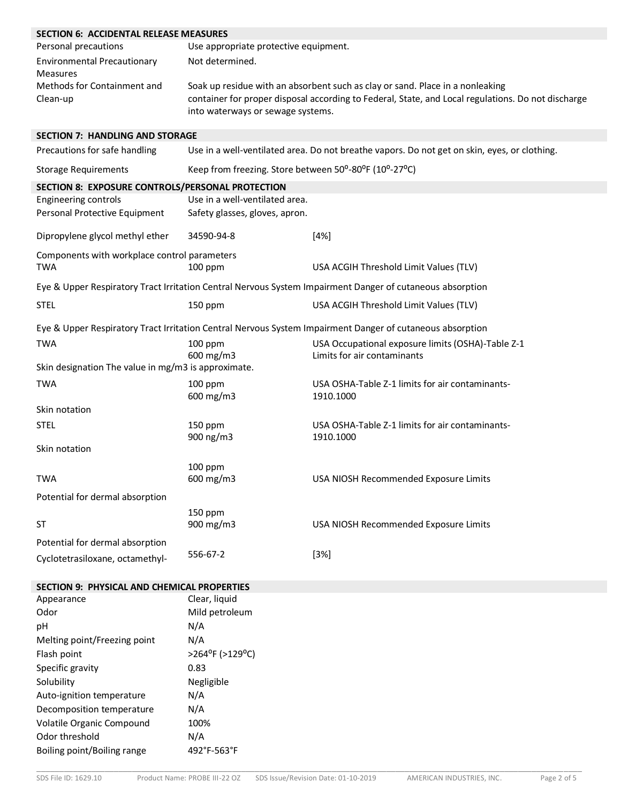| <b>SECTION 6: ACCIDENTAL RELEASE MEASURES</b>              |                                                       |                                                                                                           |  |  |
|------------------------------------------------------------|-------------------------------------------------------|-----------------------------------------------------------------------------------------------------------|--|--|
| Personal precautions                                       | Use appropriate protective equipment.                 |                                                                                                           |  |  |
| <b>Environmental Precautionary</b><br>Measures             | Not determined.                                       |                                                                                                           |  |  |
| Methods for Containment and                                |                                                       | Soak up residue with an absorbent such as clay or sand. Place in a nonleaking                             |  |  |
| Clean-up                                                   | into waterways or sewage systems.                     | container for proper disposal according to Federal, State, and Local regulations. Do not discharge        |  |  |
| <b>SECTION 7: HANDLING AND STORAGE</b>                     |                                                       |                                                                                                           |  |  |
| Precautions for safe handling                              |                                                       | Use in a well-ventilated area. Do not breathe vapors. Do not get on skin, eyes, or clothing.              |  |  |
| <b>Storage Requirements</b>                                | Keep from freezing. Store between 50°-80°F (10°-27°C) |                                                                                                           |  |  |
| SECTION 8: EXPOSURE CONTROLS/PERSONAL PROTECTION           |                                                       |                                                                                                           |  |  |
| Engineering controls                                       | Use in a well-ventilated area.                        |                                                                                                           |  |  |
| Personal Protective Equipment                              | Safety glasses, gloves, apron.                        |                                                                                                           |  |  |
| Dipropylene glycol methyl ether                            | 34590-94-8                                            | [4%]                                                                                                      |  |  |
| Components with workplace control parameters<br><b>TWA</b> | $100$ ppm                                             | USA ACGIH Threshold Limit Values (TLV)                                                                    |  |  |
|                                                            |                                                       | Eye & Upper Respiratory Tract Irritation Central Nervous System Impairment Danger of cutaneous absorption |  |  |
| <b>STEL</b>                                                | 150 ppm                                               | USA ACGIH Threshold Limit Values (TLV)                                                                    |  |  |
|                                                            |                                                       | Eye & Upper Respiratory Tract Irritation Central Nervous System Impairment Danger of cutaneous absorption |  |  |
| <b>TWA</b>                                                 | $100$ ppm<br>600 mg/m3                                | USA Occupational exposure limits (OSHA)-Table Z-1<br>Limits for air contaminants                          |  |  |
| Skin designation The value in mg/m3 is approximate.        |                                                       |                                                                                                           |  |  |
| <b>TWA</b>                                                 | 100 ppm<br>600 mg/m3                                  | USA OSHA-Table Z-1 limits for air contaminants-<br>1910.1000                                              |  |  |
| Skin notation                                              |                                                       |                                                                                                           |  |  |
| <b>STEL</b>                                                | 150 ppm                                               | USA OSHA-Table Z-1 limits for air contaminants-                                                           |  |  |
| Skin notation                                              | 900 ng/m3                                             | 1910.1000                                                                                                 |  |  |
|                                                            |                                                       |                                                                                                           |  |  |
| TWA                                                        | $100$ ppm<br>$600 \text{ mg/m}$                       | USA NIOSH Recommended Exposure Limits                                                                     |  |  |
| Potential for dermal absorption                            |                                                       |                                                                                                           |  |  |
|                                                            | $150$ ppm                                             |                                                                                                           |  |  |
| <b>ST</b>                                                  | 900 mg/m3                                             | USA NIOSH Recommended Exposure Limits                                                                     |  |  |
| Potential for dermal absorption                            |                                                       |                                                                                                           |  |  |
| Cyclotetrasiloxane, octamethyl-                            | 556-67-2                                              | $[3%]$                                                                                                    |  |  |
| SECTION 9: PHYSICAL AND CHEMICAL PROPERTIES                |                                                       |                                                                                                           |  |  |
| Appearance                                                 | Clear, liquid                                         |                                                                                                           |  |  |
| Odor                                                       | Mild petroleum                                        |                                                                                                           |  |  |
| pH                                                         | N/A                                                   |                                                                                                           |  |  |
| Melting point/Freezing point                               | N/A                                                   |                                                                                                           |  |  |
| Flash point                                                | >264°F (>129°C)                                       |                                                                                                           |  |  |
| Specific gravity                                           | 0.83                                                  |                                                                                                           |  |  |
| Solubility                                                 | Negligible                                            |                                                                                                           |  |  |
| Auto-ignition temperature                                  | N/A                                                   |                                                                                                           |  |  |
| Decomposition temperature                                  | N/A                                                   |                                                                                                           |  |  |
| Volatile Organic Compound                                  | 100%                                                  |                                                                                                           |  |  |
| Odor threshold                                             | N/A                                                   |                                                                                                           |  |  |
| Boiling point/Boiling range                                | 492°F-563°F                                           |                                                                                                           |  |  |
|                                                            |                                                       |                                                                                                           |  |  |

\_\_\_\_\_\_\_\_\_\_\_\_\_\_\_\_\_\_\_\_\_\_\_\_\_\_\_\_\_\_\_\_\_\_\_\_\_\_\_\_\_\_\_\_\_\_\_\_\_\_\_\_\_\_\_\_\_\_\_\_\_\_\_\_\_\_\_\_\_\_\_\_\_\_\_\_\_\_\_\_\_\_\_\_\_\_\_\_\_\_\_\_\_\_\_\_\_\_\_\_\_\_\_\_\_\_\_\_\_\_\_\_\_\_\_\_\_\_\_\_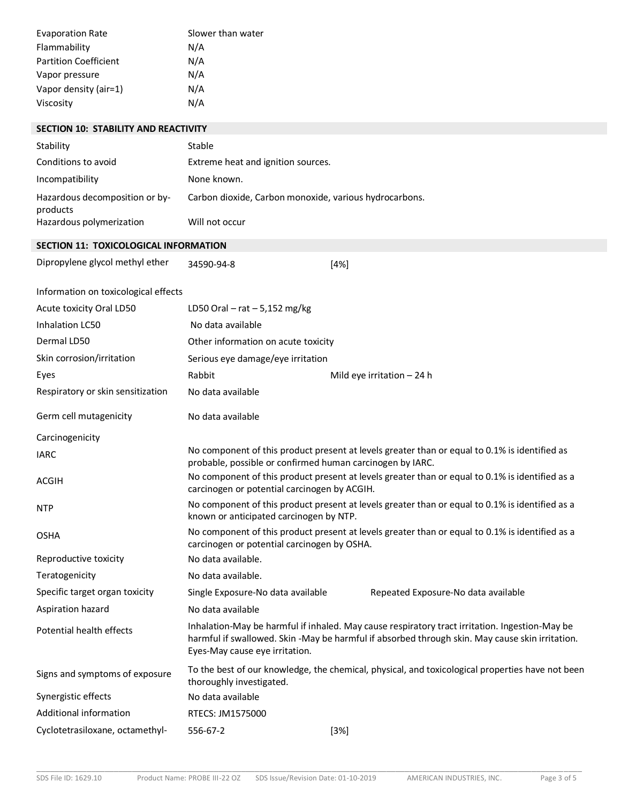| <b>Evaporation Rate</b>      | Slower than water |
|------------------------------|-------------------|
| Flammability                 | N/A               |
| <b>Partition Coefficient</b> | N/A               |
| Vapor pressure               | N/A               |
| Vapor density (air=1)        | N/A               |
| Viscosity                    | N/A               |

| <b>SECTION 10: STABILITY AND REACTIVITY</b> |                                    |  |
|---------------------------------------------|------------------------------------|--|
| Stability                                   | Stable                             |  |
| Conditions to avoid                         | Extreme heat and ignition sources. |  |

| Incompatibility                            | None known.                                            |
|--------------------------------------------|--------------------------------------------------------|
| Hazardous decomposition or by-<br>products | Carbon dioxide, Carbon monoxide, various hydrocarbons. |
| Hazardous polymerization                   | Will not occur                                         |

### **SECTION 11: TOXICOLOGICAL INFORMATION**

| Dipropylene glycol methyl ether<br>34590-94-8 | [4%] |
|-----------------------------------------------|------|
|-----------------------------------------------|------|

|  | Information on toxicological effects |  |
|--|--------------------------------------|--|
|--|--------------------------------------|--|

| Acute toxicity Oral LD50          | LD50 Oral $-$ rat $-$ 5,152 mg/kg                                                                                                          |                                                                                                                                                 |                                                                                                                                                                                                   |  |
|-----------------------------------|--------------------------------------------------------------------------------------------------------------------------------------------|-------------------------------------------------------------------------------------------------------------------------------------------------|---------------------------------------------------------------------------------------------------------------------------------------------------------------------------------------------------|--|
| Inhalation LC50                   | No data available                                                                                                                          |                                                                                                                                                 |                                                                                                                                                                                                   |  |
| Dermal LD50                       | Other information on acute toxicity                                                                                                        |                                                                                                                                                 |                                                                                                                                                                                                   |  |
| Skin corrosion/irritation         |                                                                                                                                            | Serious eye damage/eye irritation                                                                                                               |                                                                                                                                                                                                   |  |
| Eyes                              | Rabbit                                                                                                                                     |                                                                                                                                                 | Mild eye irritation $-24$ h                                                                                                                                                                       |  |
| Respiratory or skin sensitization | No data available                                                                                                                          |                                                                                                                                                 |                                                                                                                                                                                                   |  |
| Germ cell mutagenicity            | No data available                                                                                                                          |                                                                                                                                                 |                                                                                                                                                                                                   |  |
| Carcinogenicity                   |                                                                                                                                            |                                                                                                                                                 |                                                                                                                                                                                                   |  |
| <b>IARC</b>                       |                                                                                                                                            | probable, possible or confirmed human carcinogen by IARC.                                                                                       | No component of this product present at levels greater than or equal to 0.1% is identified as                                                                                                     |  |
| ACGIH                             |                                                                                                                                            | No component of this product present at levels greater than or equal to 0.1% is identified as a<br>carcinogen or potential carcinogen by ACGIH. |                                                                                                                                                                                                   |  |
| <b>NTP</b>                        | No component of this product present at levels greater than or equal to 0.1% is identified as a<br>known or anticipated carcinogen by NTP. |                                                                                                                                                 |                                                                                                                                                                                                   |  |
| <b>OSHA</b>                       |                                                                                                                                            | carcinogen or potential carcinogen by OSHA.                                                                                                     | No component of this product present at levels greater than or equal to 0.1% is identified as a                                                                                                   |  |
| Reproductive toxicity             | No data available.                                                                                                                         |                                                                                                                                                 |                                                                                                                                                                                                   |  |
| Teratogenicity                    | No data available.                                                                                                                         |                                                                                                                                                 |                                                                                                                                                                                                   |  |
| Specific target organ toxicity    | Single Exposure-No data available                                                                                                          |                                                                                                                                                 | Repeated Exposure-No data available                                                                                                                                                               |  |
| Aspiration hazard                 | No data available                                                                                                                          |                                                                                                                                                 |                                                                                                                                                                                                   |  |
| Potential health effects          | Eyes-May cause eye irritation.                                                                                                             |                                                                                                                                                 | Inhalation-May be harmful if inhaled. May cause respiratory tract irritation. Ingestion-May be<br>harmful if swallowed. Skin -May be harmful if absorbed through skin. May cause skin irritation. |  |
| Signs and symptoms of exposure    | To the best of our knowledge, the chemical, physical, and toxicological properties have not been<br>thoroughly investigated.               |                                                                                                                                                 |                                                                                                                                                                                                   |  |
| Synergistic effects               | No data available                                                                                                                          |                                                                                                                                                 |                                                                                                                                                                                                   |  |
| Additional information            | RTECS: JM1575000                                                                                                                           |                                                                                                                                                 |                                                                                                                                                                                                   |  |
| Cyclotetrasiloxane, octamethyl-   | 556-67-2                                                                                                                                   | $[3\%]$                                                                                                                                         |                                                                                                                                                                                                   |  |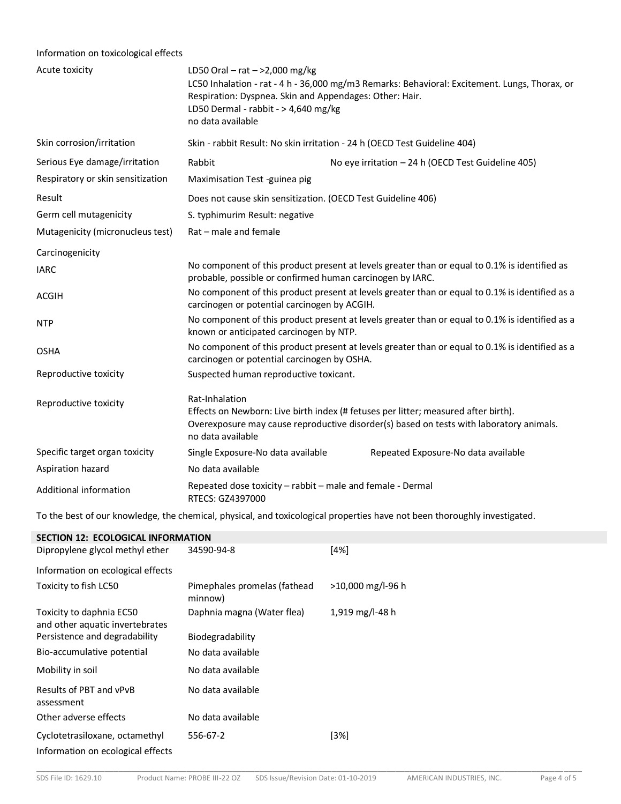# Information on toxicological effects

| Acute toxicity                    | LD50 Oral – rat – >2,000 mg/kg<br>LC50 Inhalation - rat - 4 h - 36,000 mg/m3 Remarks: Behavioral: Excitement. Lungs, Thorax, or<br>Respiration: Dyspnea. Skin and Appendages: Other: Hair.<br>LD50 Dermal - rabbit - > 4,640 mg/kg<br>no data available |                                                                           |  |
|-----------------------------------|---------------------------------------------------------------------------------------------------------------------------------------------------------------------------------------------------------------------------------------------------------|---------------------------------------------------------------------------|--|
| Skin corrosion/irritation         |                                                                                                                                                                                                                                                         | Skin - rabbit Result: No skin irritation - 24 h (OECD Test Guideline 404) |  |
| Serious Eye damage/irritation     | Rabbit                                                                                                                                                                                                                                                  | No eye irritation - 24 h (OECD Test Guideline 405)                        |  |
| Respiratory or skin sensitization | Maximisation Test -guinea pig                                                                                                                                                                                                                           |                                                                           |  |
| Result                            | Does not cause skin sensitization. (OECD Test Guideline 406)                                                                                                                                                                                            |                                                                           |  |
| Germ cell mutagenicity            | S. typhimurim Result: negative                                                                                                                                                                                                                          |                                                                           |  |
| Mutagenicity (micronucleus test)  | Rat - male and female                                                                                                                                                                                                                                   |                                                                           |  |
| Carcinogenicity                   |                                                                                                                                                                                                                                                         |                                                                           |  |
| <b>IARC</b>                       | No component of this product present at levels greater than or equal to 0.1% is identified as<br>probable, possible or confirmed human carcinogen by IARC.                                                                                              |                                                                           |  |
| <b>ACGIH</b>                      | No component of this product present at levels greater than or equal to 0.1% is identified as a<br>carcinogen or potential carcinogen by ACGIH.                                                                                                         |                                                                           |  |
| <b>NTP</b>                        | No component of this product present at levels greater than or equal to 0.1% is identified as a<br>known or anticipated carcinogen by NTP.                                                                                                              |                                                                           |  |
| <b>OSHA</b>                       | No component of this product present at levels greater than or equal to 0.1% is identified as a<br>carcinogen or potential carcinogen by OSHA.                                                                                                          |                                                                           |  |
| Reproductive toxicity             | Suspected human reproductive toxicant.                                                                                                                                                                                                                  |                                                                           |  |
| Reproductive toxicity             | Rat-Inhalation<br>Effects on Newborn: Live birth index (# fetuses per litter; measured after birth).<br>Overexposure may cause reproductive disorder(s) based on tests with laboratory animals.<br>no data available                                    |                                                                           |  |
| Specific target organ toxicity    | Single Exposure-No data available                                                                                                                                                                                                                       | Repeated Exposure-No data available                                       |  |
| Aspiration hazard                 | No data available                                                                                                                                                                                                                                       |                                                                           |  |
| Additional information            | Repeated dose toxicity - rabbit - male and female - Dermal<br>RTECS: GZ4397000                                                                                                                                                                          |                                                                           |  |

To the best of our knowledge, the chemical, physical, and toxicological properties have not been thoroughly investigated.

| <b>SECTION 12: ECOLOGICAL INFORMATION</b>                           |                                         |                   |  |  |  |  |  |
|---------------------------------------------------------------------|-----------------------------------------|-------------------|--|--|--|--|--|
| Dipropylene glycol methyl ether                                     | 34590-94-8                              | [4%]              |  |  |  |  |  |
| Information on ecological effects                                   |                                         |                   |  |  |  |  |  |
| Toxicity to fish LC50                                               | Pimephales promelas (fathead<br>minnow) | >10,000 mg/l-96 h |  |  |  |  |  |
| Toxicity to daphnia EC50<br>and other aquatic invertebrates         | Daphnia magna (Water flea)              | 1,919 mg/l-48 h   |  |  |  |  |  |
| Persistence and degradability                                       | Biodegradability                        |                   |  |  |  |  |  |
| Bio-accumulative potential                                          | No data available                       |                   |  |  |  |  |  |
| Mobility in soil                                                    | No data available                       |                   |  |  |  |  |  |
| Results of PBT and vPvB<br>assessment                               | No data available                       |                   |  |  |  |  |  |
| Other adverse effects                                               | No data available                       |                   |  |  |  |  |  |
| Cyclotetrasiloxane, octamethyl<br>Information on ecological effects | 556-67-2                                | [3%]              |  |  |  |  |  |